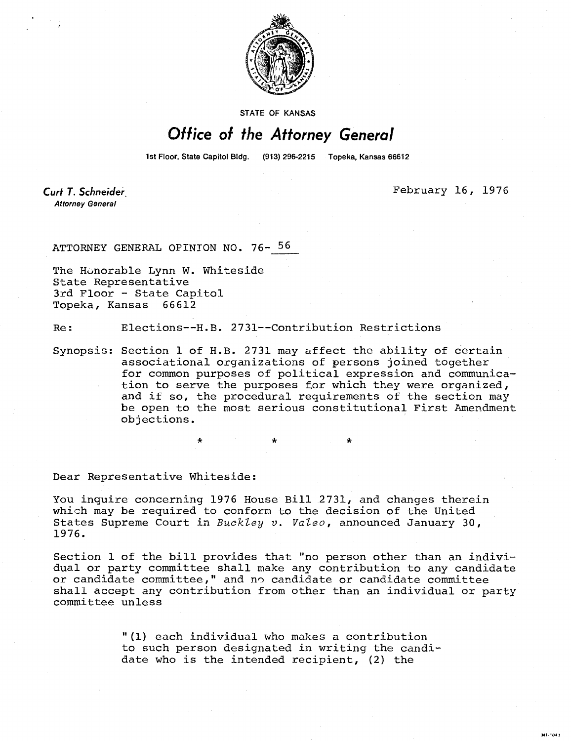

STATE OF KANSAS

## Office of the Attorney General

1st Floor, State Capitol Bldg. (913) 296-2215 Topeka, Kansas 66612

**Curt T. Schneider Attorney General** 

February 16, 1976

M1-1043

ATTORNEY GENERAL OPINION NO. 76- 56

The Honorable Lynn W. Whiteside State Representative 3rd Floor - State Capitol Topeka, Kansas 66612

Re: Elections--H.B. 2731--Contribution Restrictions

Synopsis: Section 1 of H.B. 2731 may affect the ability of certain associational organizations of persons joined together for common purposes of political expression and communication to serve the purposes for which they were organized, and if so, the procedural requirements of the section may be open to the most serious constitutional First Amendment objections.

\*

Dear Representative Whiteside:

You inquire concerning 1976 House Bill 2731, and changes therein which may be required to conform to the decision of the United States Supreme Court in  $Buckley$  v. Valeo, announced January 30, 1976.

Section 1 of the bill provides that "no person other than an individual or party committee shall make any contribution to any candidate or candidate committee," and no candidate or candidate committee shall accept any contribution from other than an individual or party committee unless

> "(1) each individual who makes a contribution to such person designated in writing the candidate who is the intended recipient, (2) the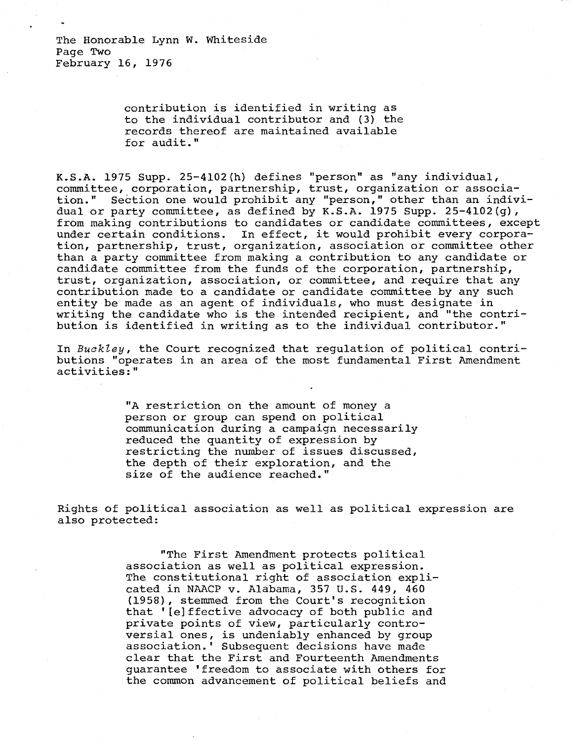contribution is identified in writing as to the individual contributor and (3) the records thereof are maintained available for audit."

K.S.A. 1975 Supp. 25-4102(h) defines "person" as "any individual, committee, corporation, partnership, trust, organization or association." Section one would prohibit any "person," other than an individual or party committee, as defined by K.S.A. 1975 Supp. 25-4102(g), from making contributions to candidates or candidate committees, except under certain conditions. In effect, it would prohibit every corporation, partnership, trust, organization, association or committee other than a party committee from making a contribution to any candidate or candidate committee from the funds of the corporation, partnership, trust, organization, association, or committee, and require that any contribution made to a candidate or candidate committee by any such entity be made as an agent of individuals, who must designate in writing the candidate who is the intended recipient, and "the contribution is identified in writing as to the individual contributor."

In Buckley, the Court recognized that regulation of political contributions "operates in an area of the most fundamental First Amendment activities:"

> "A restriction on the amount of money a person or group can spend on political communication during a campaign necessarily reduced the quantity of expression by restricting the number of issues discussed, the depth of their exploration, and the size of the audience reached."

Rights of political association as well as political expression are also protected:

> "The First Amendment protects political association as well as political expression. The constitutional right of association explicated in NAACP v. Alabama, 357 U.S. 449, 460 (1958), stemmed from the Court's recognition that '[e]ffective advocacy of both public and private points of view, particularly controversial ones, is undeniably enhanced by group association.' Subsequent decisions have made clear that the First and Fourteenth Amendments guarantee 'freedom to associate with others for the common advancement of political beliefs and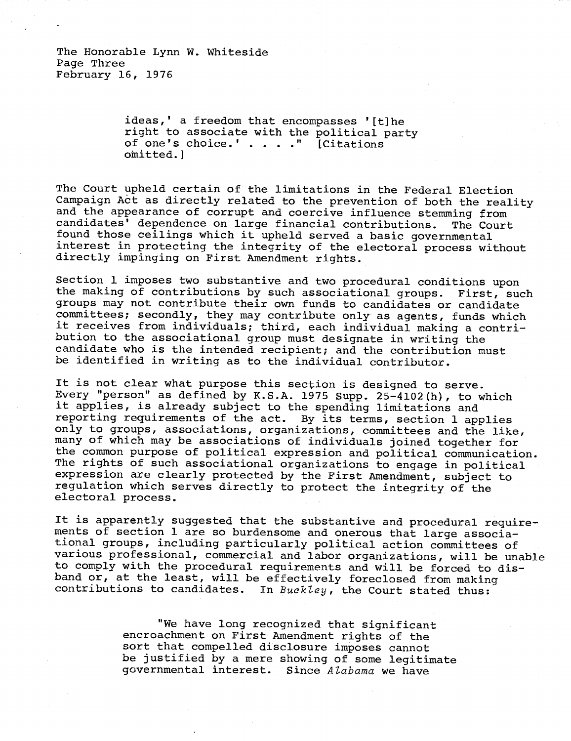The Honorable Lynn W. Whiteside Page Three February 16, 1976

> ideas,' a freedom that encompasses '[t]he right to associate with the political party of one's choice.' . . . ." [Citations omitted.]

The Court upheld certain of the limitations in the Federal Election Campaign Act as directly related to the prevention of both the reality and the appearance of corrupt and coercive influence stemming from candidates' dependence on large financial contributions. The Court found those ceilings which it upheld served a basic governmental interest in protecting the integrity of the electoral process without directly impinging on First Amendment rights.

Section 1 imposes two substantive and two procedural conditions upon the making of contributions by such associational groups. First, such groups may not contribute their own funds to candidates or candidate committees; secondly, they may contribute only as agents, funds which it receives from individuals; third, each individual making a contribution to the associational group must designate in writing the candidate who is the intended recipient; and the contribution must be identified in writing as to the individual contributor.

It is not clear what purpose this section is designed to serve. Every "person" as defined by K.S.A. 1975 Supp. 25-4102(h), to which it applies, is already subject to the spending limitations and reporting requirements of the act. By its terms, section 1 applies only to groups, associations, organizations, committees and the like, many of which may be associations of individuals joined together for the common purpose of political expression and political communication. The rights of such associational organizations to engage in political expression are clearly protected by the First Amendment, subject to regulation which serves directly to protect the integrity of the electoral process.

It is apparently suggested that the substantive and procedural requirements of section 1 are so burdensome and onerous that large associational groups, including particularly political action committees of various professional, commercial and labor organizations, will be unable to comply with the procedural requirements and will be forced to disband or, at the least, will be effectively foreclosed from making contributions to candidates. In Buckley, the Court stated thus:

> "We have long recognized that significant encroachment on First Amendment rights of the sort that compelled disclosure imposes cannot be justified by a mere showing of some legitimate governmental interest. Since Alabama we have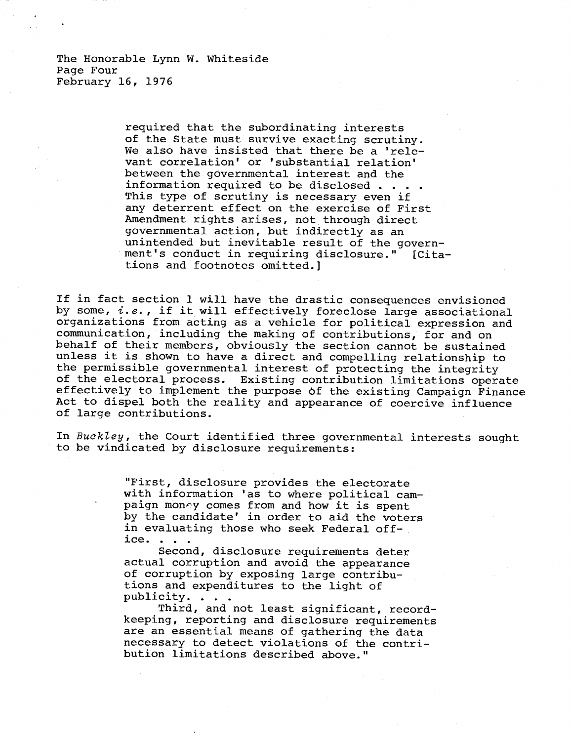The Honorable Lynn W. Whiteside Page Four February 16, 1976

> required that the subordinating interests of the State must survive exacting scrutiny. We also have insisted that there be a 'relevant correlation' or 'substantial relation' between the governmental interest and the information required to be disclosed . . . . This type of scrutiny is necessary even if any deterrent effect on the exercise of First Amendment rights arises, not through direct governmental action, but indirectly as an unintended but inevitable result of the government's conduct in requiring disclosure." [Citations and footnotes omitted.]

If in fact section 1 will have the drastic consequences envisioned by some,  $i.e.$ , if it will effectively foreclose large associational organizations from acting as a vehicle for political expression and communication, including the making of contributions, for and on behalf of their members, obviously the section cannot be sustained unless it is shown to have a direct and compelling relationship to the permissible governmental interest of protecting the integrity of the electoral process. Existing contribution limitations operate effectively to implement the purpose of the existing Campaign Finance Act to dispel both the reality and appearance of coercive influence of large contributions.

In Buckley, the Court identified three governmental interests sought to be vindicated by disclosure requirements:

> "First, disclosure provides the electorate with information 'as to where political campaign money comes from and how it is spent by the candidate' in order to aid the voters in evaluating those who seek Federal office. . . .

Second, disclosure requirements deter actual corruption and avoid the appearance of corruption by exposing large contributions and expenditures to the light of publicity. . . .

Third, and not least significant, recordkeeping, reporting and disclosure requirements are an essential means of gathering the data necessary to detect violations of the contribution limitations described above."